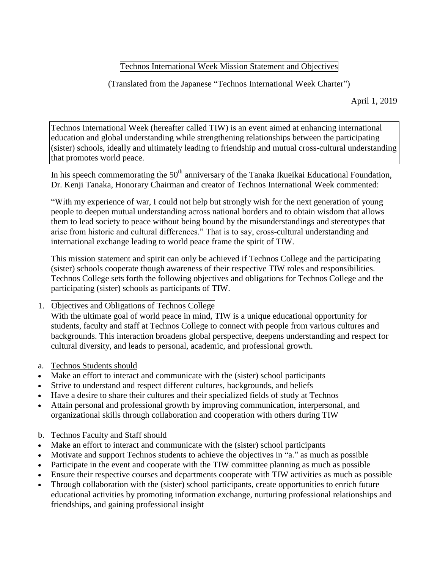## Technos International Week Mission Statement and Objectives

(Translated from the Japanese "Technos International Week Charter")

April 1, 2019

Technos International Week (hereafter called TIW) is an event aimed at enhancing international education and global understanding while strengthening relationships between the participating (sister) schools, ideally and ultimately leading to friendship and mutual cross-cultural understanding that promotes world peace.

In his speech commemorating the  $50<sup>th</sup>$  anniversary of the Tanaka Ikueikai Educational Foundation, Dr. Kenji Tanaka, Honorary Chairman and creator of Technos International Week commented:

"With my experience of war, I could not help but strongly wish for the next generation of young people to deepen mutual understanding across national borders and to obtain wisdom that allows them to lead society to peace without being bound by the misunderstandings and stereotypes that arise from historic and cultural differences." That is to say, cross-cultural understanding and international exchange leading to world peace frame the spirit of TIW.

This mission statement and spirit can only be achieved if Technos College and the participating (sister) schools cooperate though awareness of their respective TIW roles and responsibilities. Technos College sets forth the following objectives and obligations for Technos College and the participating (sister) schools as participants of TIW.

## 1. Objectives and Obligations of Technos College

With the ultimate goal of world peace in mind, TIW is a unique educational opportunity for students, faculty and staff at Technos College to connect with people from various cultures and backgrounds. This interaction broadens global perspective, deepens understanding and respect for cultural diversity, and leads to personal, academic, and professional growth.

- a. Technos Students should
- Make an effort to interact and communicate with the (sister) school participants
- Strive to understand and respect different cultures, backgrounds, and beliefs
- Have a desire to share their cultures and their specialized fields of study at Technos
- Attain personal and professional growth by improving communication, interpersonal, and organizational skills through collaboration and cooperation with others during TIW
- b. Technos Faculty and Staff should
- Make an effort to interact and communicate with the (sister) school participants
- Motivate and support Technos students to achieve the objectives in "a." as much as possible
- Participate in the event and cooperate with the TIW committee planning as much as possible
- Ensure their respective courses and departments cooperate with TIW activities as much as possible
- Through collaboration with the (sister) school participants, create opportunities to enrich future educational activities by promoting information exchange, nurturing professional relationships and friendships, and gaining professional insight